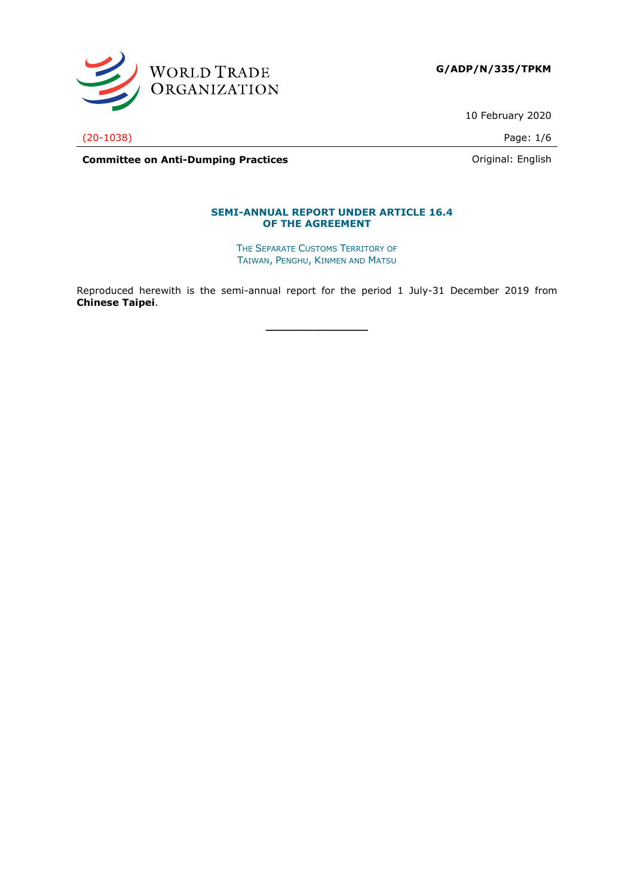

10 February 2020

(20-1038) Page: 1/6

**Committee on Anti-Dumping Practices Committee on Anti-Dumping Practices Committee on Anti-Dumping Practices** 

#### **SEMI-ANNUAL REPORT UNDER ARTICLE 16.4 OF THE AGREEMENT**

THE SEPARATE CUSTOMS TERRITORY OF TAIWAN, PENGHU, KINMEN AND MATSU

Reproduced herewith is the semi-annual report for the period 1 July-31 December 2019 from **Chinese Taipei**.

**\_\_\_\_\_\_\_\_\_\_\_\_\_\_\_**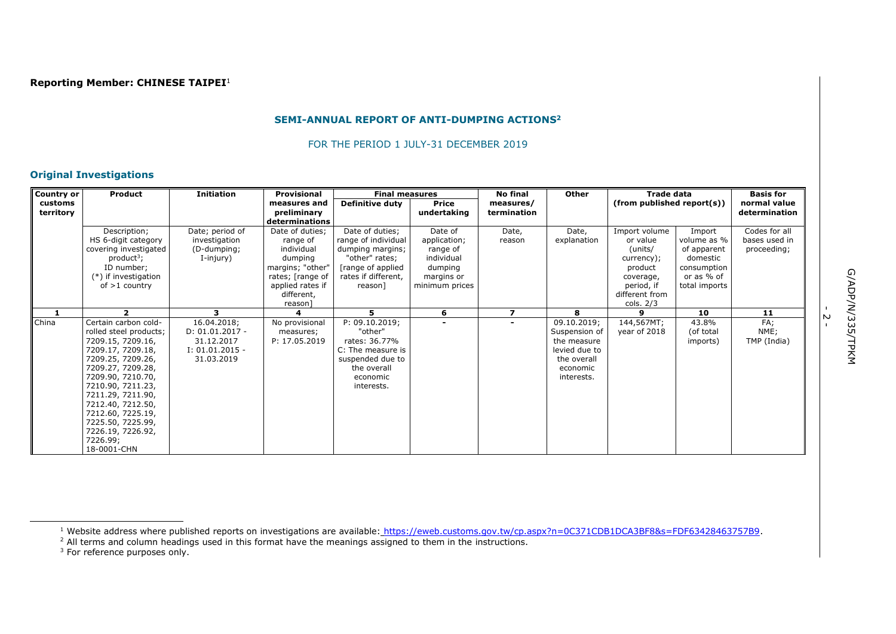## **SEMI-ANNUAL REPORT OF ANTI-DUMPING ACTIONS<sup>2</sup>**

FOR THE PERIOD 1 JULY-31 DECEMBER 2019

# **Original Investigations**

| <b>Country or</b> | Product                | <b>Initiation</b> | <b>Provisional</b>    | <b>Final measures</b>  |                | <b>No final</b>          | Other         | <b>Trade data</b>             |               | <b>Basis for</b> |
|-------------------|------------------------|-------------------|-----------------------|------------------------|----------------|--------------------------|---------------|-------------------------------|---------------|------------------|
| customs           |                        |                   | measures and          | <b>Definitive duty</b> | <b>Price</b>   | measures/                |               | (from published report(s))    |               | normal value     |
| territory         |                        |                   | preliminary           |                        | undertaking    | termination              |               |                               |               | determination    |
|                   |                        |                   | determinations        |                        |                |                          |               |                               |               |                  |
|                   | Description;           | Date; period of   | Date of duties;       | Date of duties;        | Date of        | Date,                    | Date,         | Import volume                 | Import        | Codes for all    |
|                   | HS 6-digit category    | investigation     | range of              | range of individual    | application;   | reason                   | explanation   | or value                      | volume as %   | bases used in    |
|                   | covering investigated  | (D-dumping;       | individual            | dumping margins;       | range of       |                          |               | (units/                       | of apparent   | proceeding;      |
|                   | $product^3$ ;          | I-injury)         | dumping               | "other" rates;         | individual     |                          |               | currency);                    | domestic      |                  |
|                   | ID number;             |                   | margins; "other"      | [range of applied]     | dumping        |                          |               | product                       | consumption   |                  |
|                   | (*) if investigation   |                   | rates; [range of      | rates if different,    | margins or     |                          |               | coverage,                     | or as % of    |                  |
|                   | of $>1$ country        |                   | applied rates if      | reason]                | minimum prices |                          |               | period, if                    | total imports |                  |
|                   |                        |                   | different,<br>reason] |                        |                |                          |               | different from<br>cols. $2/3$ |               |                  |
| 1                 | ,                      | з.                |                       | 5.                     | 6              | $\overline{\phantom{a}}$ | 8             |                               | 10            | 11               |
| China             | Certain carbon cold-   | 16.04.2018;       | No provisional        | P: 09.10.2019;         |                |                          | 09.10.2019;   | 144,567MT;                    | 43.8%         | FA;              |
|                   | rolled steel products; | $D: 01.01.2017 -$ | measures;             | "other"                |                |                          | Suspension of | year of 2018                  | (of total     | NME;             |
|                   | 7209.15, 7209.16,      | 31.12.2017        | P: 17.05.2019         | rates: 36.77%          |                |                          | the measure   |                               | imports)      | TMP (India)      |
|                   | 7209.17, 7209.18,      | $I: 01.01.2015 -$ |                       | C: The measure is      |                |                          | levied due to |                               |               |                  |
|                   | 7209.25, 7209.26,      | 31.03.2019        |                       | suspended due to       |                |                          | the overall   |                               |               |                  |
|                   | 7209.27, 7209.28,      |                   |                       | the overall            |                |                          | economic      |                               |               |                  |
|                   | 7209.90, 7210.70,      |                   |                       | economic               |                |                          | interests.    |                               |               |                  |
|                   | 7210.90, 7211.23,      |                   |                       | interests.             |                |                          |               |                               |               |                  |
|                   | 7211.29, 7211.90,      |                   |                       |                        |                |                          |               |                               |               |                  |
|                   | 7212.40, 7212.50,      |                   |                       |                        |                |                          |               |                               |               |                  |
|                   | 7212.60, 7225.19,      |                   |                       |                        |                |                          |               |                               |               |                  |
|                   | 7225.50, 7225.99,      |                   |                       |                        |                |                          |               |                               |               |                  |
|                   | 7226.19, 7226.92,      |                   |                       |                        |                |                          |               |                               |               |                  |
|                   | 7226.99;               |                   |                       |                        |                |                          |               |                               |               |                  |
|                   | 18-0001-CHN            |                   |                       |                        |                |                          |               |                               |               |                  |

<sup>1</sup> Website address where published reports on investigations are available: [https://eweb.customs.gov.tw/cp.aspx?n=0C371CDB1DCA3BF8&s=FDF63428463757B9.](https://eweb.customs.gov.tw/cp.aspx?n=0C371CDB1DCA3BF8&s=FDF63428463757B9)

 $<sup>2</sup>$  All terms and column headings used in this format have the meanings assigned to them in the instructions.</sup>

 $3$  For reference purposes only.

-<br>- 2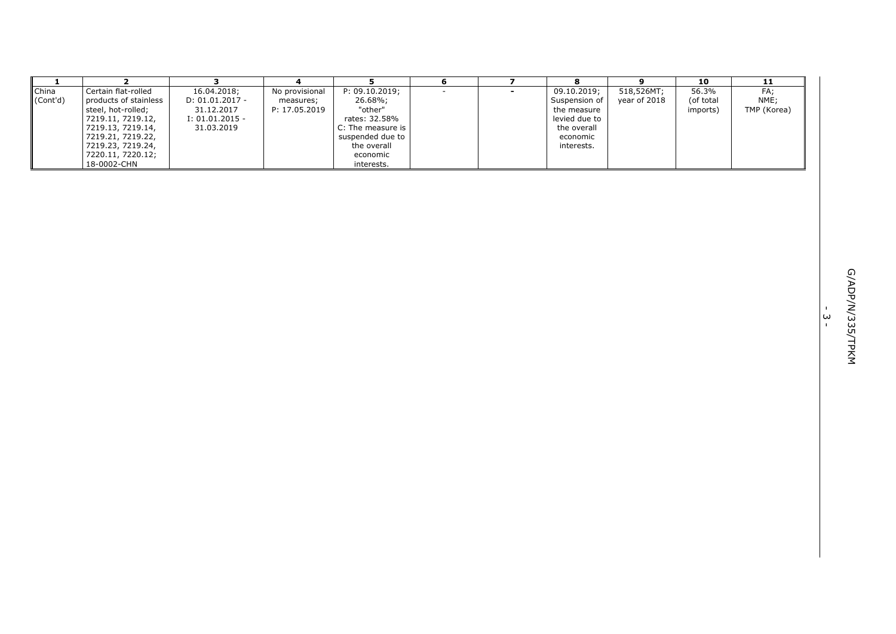|          |                       |                   |                |                   |        |               |              | 10        |             |
|----------|-----------------------|-------------------|----------------|-------------------|--------|---------------|--------------|-----------|-------------|
| China    | Certain flat-rolled   | 16.04.2018;       | No provisional | P: 09.10.2019;    | $\sim$ | 09.10.2019;   | 518,526MT;   | 56.3%     | FA:         |
| (Cont'd) | products of stainless | D: 01.01.2017 -   | measures;      | 26.68%;           |        | Suspension of | vear of 2018 | (of total | NME;        |
|          | steel, hot-rolled;    | 31.12.2017        | P: 17.05.2019  | "other"           |        | the measure   |              | imports)  | TMP (Korea) |
|          | 7219.11, 7219.12,     | $I: 01.01.2015 -$ |                | rates: 32.58%     |        | levied due to |              |           |             |
|          | 7219.13, 7219.14,     | 31.03.2019        |                | C: The measure is |        | the overall   |              |           |             |
|          | 7219.21, 7219.22,     |                   |                | suspended due to  |        | economic      |              |           |             |
|          | 7219.23, 7219.24,     |                   |                | the overall       |        | interests.    |              |           |             |
|          | 7220.11, 7220.12;     |                   |                | economic          |        |               |              |           |             |
|          | 18-0002-CHN           |                   |                | interests.        |        |               |              |           |             |

ا<br>س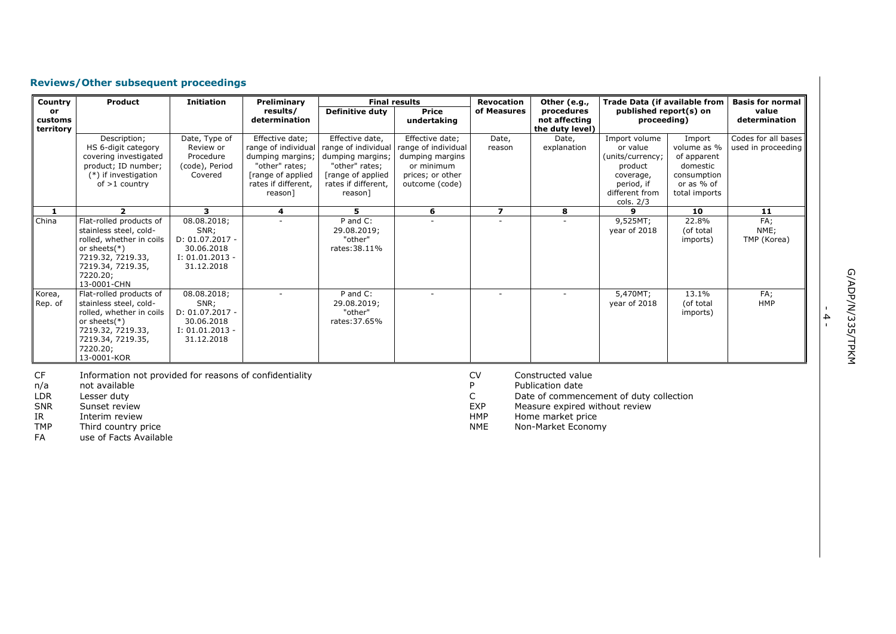# **Reviews/Other subsequent proceedings**

| Country                    | <b>Product</b>                                                                                                                                                        | <b>Initiation</b>                                                                         | Preliminary                                                                                                                          |                                                                                                                                    | <b>Final results</b>                                                                                          | <b>Revocation</b> | Other (e.g.,                                   | <b>Trade Data (if available from</b>                                                                                 |                                                                                                | <b>Basis for normal</b>                   |
|----------------------------|-----------------------------------------------------------------------------------------------------------------------------------------------------------------------|-------------------------------------------------------------------------------------------|--------------------------------------------------------------------------------------------------------------------------------------|------------------------------------------------------------------------------------------------------------------------------------|---------------------------------------------------------------------------------------------------------------|-------------------|------------------------------------------------|----------------------------------------------------------------------------------------------------------------------|------------------------------------------------------------------------------------------------|-------------------------------------------|
| or<br>customs<br>territory |                                                                                                                                                                       |                                                                                           | results/<br>determination                                                                                                            | <b>Definitive duty</b>                                                                                                             | Price<br>undertaking                                                                                          | of Measures       | procedures<br>not affecting<br>the duty level) | published report(s) on<br>proceeding)                                                                                |                                                                                                | value<br>determination                    |
|                            | Description;<br>HS 6-digit category<br>covering investigated<br>product; ID number;<br>(*) if investigation<br>of $>1$ country                                        | Date, Type of<br>Review or<br>Procedure<br>(code), Period<br>Covered                      | Effective date;<br>range of individual<br>dumping margins;<br>"other" rates;<br>[range of applied]<br>rates if different,<br>reason1 | Effective date,<br>range of individual<br>dumping margins;<br>"other" rates;<br>range of applied<br>rates if different,<br>reason] | Effective date;<br>range of individual<br>dumping margins<br>or minimum<br>prices; or other<br>outcome (code) | Date,<br>reason   | Date,<br>explanation                           | Import volume<br>or value<br>(units/currency;<br>product<br>coverage,<br>period, if<br>different from<br>cols. $2/3$ | Import<br>volume as %<br>of apparent<br>domestic<br>consumption<br>or as % of<br>total imports | Codes for all bases<br>used in proceeding |
| 1                          | $\overline{2}$                                                                                                                                                        | 3                                                                                         | 4                                                                                                                                    | 5.                                                                                                                                 | 6                                                                                                             | $\overline{ }$    | 8                                              | 9                                                                                                                    | 10                                                                                             | 11                                        |
| China                      | Flat-rolled products of<br>stainless steel, cold-<br>rolled, whether in coils<br>or sheets $(*)$<br>7219.32, 7219.33,<br>7219.34, 7219.35,<br>7220.20;<br>13-0001-CHN | 08.08.2018;<br>SNR;<br>$D: 01.07.2017 -$<br>30.06.2018<br>$I: 01.01.2013 -$<br>31.12.2018 |                                                                                                                                      | P and C:<br>29.08.2019;<br>"other"<br>rates: 38.11%                                                                                | $\blacksquare$                                                                                                |                   |                                                | 9,525MT;<br>year of 2018                                                                                             | 22.8%<br>(of total<br>imports)                                                                 | FA;<br>NME;<br>TMP (Korea)                |
| Korea,<br>Rep. of          | Flat-rolled products of<br>stainless steel, cold-<br>rolled, whether in coils<br>or sheets $(*)$<br>7219.32, 7219.33,<br>7219.34, 7219.35,<br>7220.20;<br>13-0001-KOR | 08.08.2018;<br>SNR:<br>$D: 01.07.2017 -$<br>30.06.2018<br>$I: 01.01.2013 -$<br>31.12.2018 |                                                                                                                                      | $P$ and $C$ :<br>29.08.2019;<br>"other"<br>rates: 37.65%                                                                           |                                                                                                               |                   |                                                | 5,470MT;<br>year of 2018                                                                                             | 13.1%<br>(of total<br>imports)                                                                 | FA;<br>HMP                                |

CF Information not provided for reasons of confidentiality<br>
n/a mot available constructed value in the constructed value of the constructed value in the constructed value

IR Interim review<br>
TMP Third country p

TMP Third country price<br>FA use of Facts Availab

EXAM & SCRIM , Price

- 
- n/a not available and the set of the set of the set of the set of the set of the set of the set of the set of the set of the set of the set of the set of the set of the set of the set of the set of the set of the set of th
- LDR Lesser duty **Example 2** Local LDR Lesser duty collection and the URR Lesser duty collection commencement of duty collection C Date of commencement of duty collection and LDR Lesser duty  $\sim$  Date of commencement of dut
- SNR Sunset review EXP Measure expired without review expired without review expired without review expired without review expired without review expired without review expired without review expired without review expired
	- HMP Home market price<br>NME Non-Market Econom
	- Non-Market Economy

- 4 -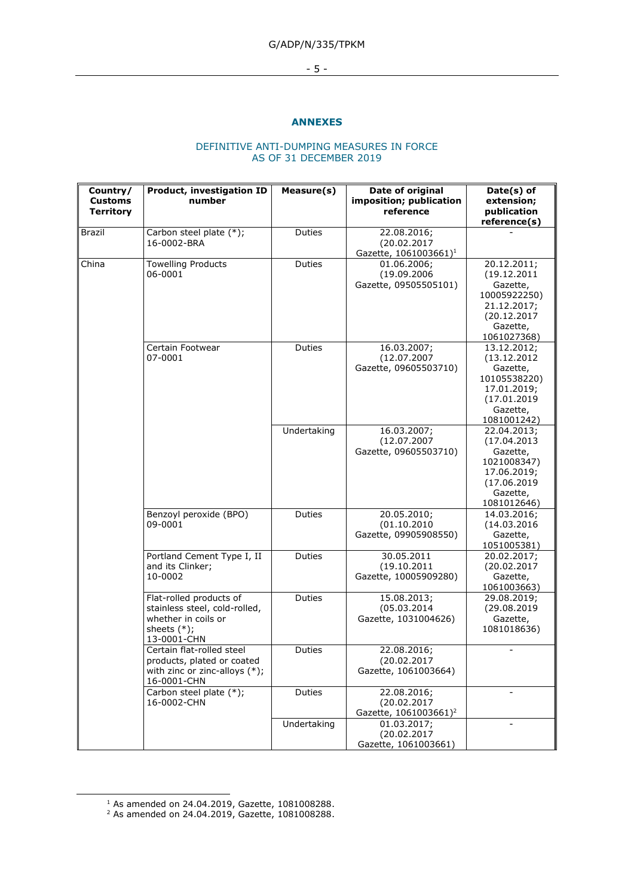## G/ADP/N/335/TPKM

#### - 5 -

## **ANNEXES**

#### DEFINITIVE ANTI-DUMPING MEASURES IN FORCE AS OF 31 DECEMBER 2019

| Country/<br><b>Customs</b><br><b>Territory</b> | <b>Product, investigation ID</b><br>number                                                                       | Measure(s)    | Date of original<br>imposition; publication<br>reference        | Date(s) of<br>extension;<br>publication<br>reference(s)                                                          |
|------------------------------------------------|------------------------------------------------------------------------------------------------------------------|---------------|-----------------------------------------------------------------|------------------------------------------------------------------------------------------------------------------|
| Brazil                                         | Carbon steel plate (*);<br>16-0002-BRA                                                                           | Duties        | 22.08.2016;<br>(20.02.2017<br>Gazette, 1061003661) <sup>1</sup> |                                                                                                                  |
| China                                          | Towelling Products<br>06-0001                                                                                    | Duties        | 01.06.2006;<br>(19.09.2006<br>Gazette, 09505505101)             | 20.12.2011;<br>(19.12.2011)<br>Gazette,<br>10005922250)<br>21.12.2017;<br>(20.12.2017<br>Gazette,<br>1061027368) |
|                                                | Certain Footwear<br>07-0001                                                                                      | Duties        | 16.03.2007;<br>(12.07.2007<br>Gazette, 09605503710)             | 13.12.2012;<br>(13.12.2012)<br>Gazette,<br>10105538220)<br>17.01.2019;<br>(17.01.2019<br>Gazette,<br>1081001242) |
|                                                |                                                                                                                  | Undertaking   | 16.03.2007;<br>(12.07.2007<br>Gazette, 09605503710)             | 22.04.2013:<br>(17.04.2013)<br>Gazette,<br>1021008347)<br>17.06.2019;<br>(17.06.2019<br>Gazette,<br>1081012646)  |
|                                                | Benzoyl peroxide (BPO)<br>09-0001                                                                                | Duties        | 20.05.2010;<br>(01.10.2010<br>Gazette, 09905908550)             | 14.03.2016;<br>(14.03.2016<br>Gazette,<br>1051005381)                                                            |
|                                                | Portland Cement Type I, II<br>and its Clinker;<br>10-0002                                                        | Duties        | 30.05.2011<br>(19.10.2011<br>Gazette, 10005909280)              | 20.02.2017;<br>(20.02.2017<br>Gazette,<br>1061003663)                                                            |
|                                                | Flat-rolled products of<br>stainless steel, cold-rolled,<br>whether in coils or<br>sheets $(*)$ ;<br>13-0001-CHN | Duties        | 15.08.2013;<br>(05.03.2014)<br>Gazette, 1031004626)             | 29.08.2019;<br>(29.08.2019<br>Gazette,<br>1081018636)                                                            |
|                                                | Certain flat-rolled steel<br>products, plated or coated<br>with zinc or zinc-alloys (*);<br>16-0001-CHN          | Duties        | 22.08.2016;<br>(20.02.2017<br>Gazette, 1061003664)              |                                                                                                                  |
|                                                | Carbon steel plate (*);<br>16-0002-CHN                                                                           | <b>Duties</b> | 22.08.2016;<br>(20.02.2017<br>Gazette, 1061003661) <sup>2</sup> |                                                                                                                  |
|                                                |                                                                                                                  | Undertaking   | 01.03.2017;<br>(20.02.2017<br>Gazette, 1061003661)              |                                                                                                                  |

 $1$  As amended on 24.04.2019, Gazette, 1081008288.

<sup>2</sup> As amended on 24.04.2019, Gazette, 1081008288.